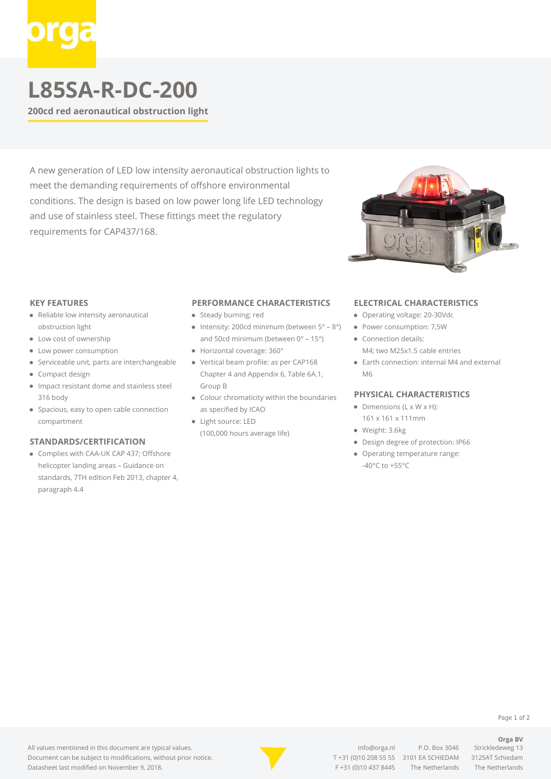# **L85SA-R-DC-200**

**200cd red aeronautical obstruction light**

A new generation of LED low intensity aeronautical obstruction lights to meet the demanding requirements of offshore environmental conditions. The design is based on low power long life LED technology and use of stainless steel. These fittings meet the regulatory requirements for CAP437/168.



#### **KEY FEATURES**

- Reliable low intensity aeronautical obstruction light
- Low cost of ownership
- Low power consumption
- Serviceable unit, parts are interchangeable
- Compact design
- Impact resistant dome and stainless steel 316 body
- Spacious, easy to open cable connection compartment

#### **STANDARDS/CERTIFICATION**

Complies with CAA-UK CAP 437; Offshore helicopter landing areas – Guidance on standards, 7TH edition Feb 2013, chapter 4, paragraph 4.4

#### **PERFORMANCE CHARACTERISTICS**

- Steady burning; red
- $\bullet$  Intensity: 200cd minimum (between  $5^{\circ}$   $8^{\circ}$ ) and 50cd minimum (between 0° – 15°)
- Horizontal coverage: 360°
- Vertical beam profile: as per CAP168 Chapter 4 and Appendix 6, Table 6A.1, Group B
- Colour chromaticity within the boundaries as specified by ICAO
- Light source: LED (100,000 hours average life)

### **ELECTRICAL CHARACTERISTICS**

- Operating voltage: 20-30Vdc
- Power consumption: 7,5W
- Connection details: M4; two M25x1.5 cable entries
- Earth connection: internal M4 and external M6

#### **PHYSICAL CHARACTERISTICS**

- $\bullet$  Dimensions (L x W x H): 161 x 161 x 111mm
- Weight: 3.6kg
- Design degree of protection: IP66
- Operating temperature range: -40°C to +55°C

Page 1 of 2

**Orga BV**

#### All values mentioned in this document are typical values. Document can be subject to modifications, without prior notice. Datasheet last modified on November 9, 2018.



[info@orga.nl](mailto:info@orga.nl) P.O. Box 3046 Strickledeweg 13 T [+31 \(0\)10 208 55 55](#page--1-0) 3101 EA SCHIEDAM 3125AT Schiedam F +31 (0)10 437 8445 The Netherlands The Netherlands